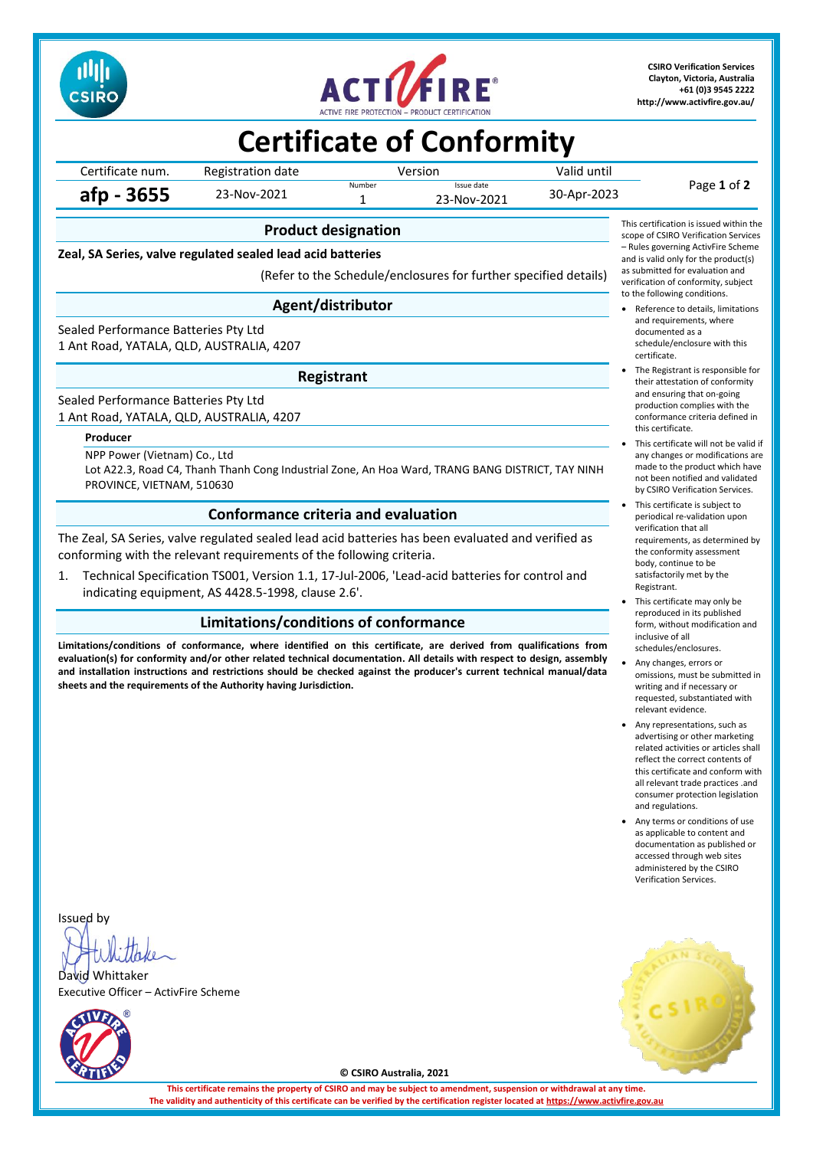



**CSIRO Verification Services Clayton, Victoria, Australia +61 (0)3 9545 2222 <http://www.activfire.gov.au/>**

# **Certificate of Conformity**

Certificate num. Registration date Version Valid until<br>
Number Save date Page **1** of **2 afp - 3655** 23-Nov-2021 Issue date  $30 - Apr-2023$ 

# **Product designation**

**Zeal, SA Series, valve regulated sealed lead acid batteries**

(Refer to the Schedule/enclosures for further specified details)

### **Agent/distributor**

Sealed Performance Batteries Pty Ltd 1 Ant Road, YATALA, QLD, AUSTRALIA, 4207

### **Registrant**

Sealed Performance Batteries Pty Ltd 1 Ant Road, YATALA, QLD, AUSTRALIA, 4207

#### **Producer**

NPP Power (Vietnam) Co., Ltd Lot A22.3, Road C4, Thanh Thanh Cong Industrial Zone, An Hoa Ward, TRANG BANG DISTRICT, TAY NINH PROVINCE, VIETNAM, 510630

### **Conformance criteria and evaluation**

The Zeal, SA Series, valve regulated sealed lead acid batteries has been evaluated and verified as conforming with the relevant requirements of the following criteria.

1. Technical Specification TS001, Version 1.1, 17-Jul-2006, 'Lead-acid batteries for control and indicating equipment, AS 4428.5-1998, clause 2.6'.

### **Limitations/conditions of conformance**

**Limitations/conditions of conformance, where identified on this certificate, are derived from qualifications from evaluation(s) for conformity and/or other related technical documentation. All details with respect to design, assembly and installation instructions and restrictions should be checked against the producer's current technical manual/data sheets and the requirements of the Authority having Jurisdiction.**

This certification is issued within the scope of CSIRO Verification Services – Rules governing ActivFire Scheme and is valid only for the product(s) as submitted for evaluation and verification of conformity, subject to the following conditions.

- Reference to details, limitations and requirements, where documented as a schedule/enclosure with this certificate.
- The Registrant is responsible for their attestation of conformity and ensuring that on-going production complies with the conformance criteria defined in this certificate.
- This certificate will not be valid if any changes or modifications are made to the product which have not been notified and validated by CSIRO Verification Services.
- This certificate is subject to periodical re-validation upon verification that all requirements, as determined by the conformity assessment body, continue to be satisfactorily met by the Registrant.
- This certificate may only be reproduced in its published form, without modification and inclusive of all schedules/enclosures.
- Any changes, errors or
- omissions, must be submitted in writing and if necessary or requested, substantiated with relevant evidence.
- Any representations, such as advertising or other marketing related activities or articles shall reflect the correct contents of this certificate and conform with all relevant trade practices, and consumer protection legislation and regulations.
- Any terms or conditions of use as applicable to content and documentation as published or accessed through web sites administered by the CSIRO Verification Services.



Issued by

David Whittaker Executive Officer – ActivFire Scheme



**© CSIRO Australia, 2021**

**This certificate remains the property of CSIRO and may be subject to amendment, suspension or withdrawal at any time. The validity and authenticity of this certificate can be verified by the certification register located at [https://www.activfire.gov.au](https://www.activfire.gov.au/)**